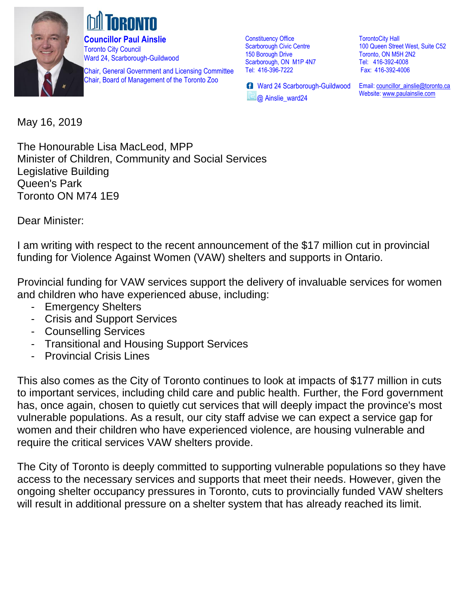

**Councillor Paul Ainslie**  Toronto City Council Ward 24, Scarborough-Guildwood

Chair, General Government and Licensing Committee Chair, Board of Management of the Toronto Zoo

Constituency Office Scarborough Civic Centre 150 Borough Drive Scarborough, ON M1P 4N7 Tel: 416-396-7222

**B** Ward 24 Scarborough-Guildwood @ Ainslie\_ward24

TorontoCity Hall 100 Queen Street West, Suite C52 Toronto, ON M5H 2N2 Tel: 416-392-4008 Fax: 416-392-4006

Email[: councillor\\_ainslie@toronto.ca](mailto:councillor_ainslie@toronto.ca) Website[: www.paulainslie.com](http://www.paulainslie.com/)

May 16, 2019

The Honourable Lisa MacLeod, MPP Minister of Children, Community and Social Services Legislative Building Queen's Park Toronto ON M74 1E9

Dear Minister:

I am writing with respect to the recent announcement of the \$17 million cut in provincial funding for Violence Against Women (VAW) shelters and supports in Ontario.

Provincial funding for VAW services support the delivery of invaluable services for women and children who have experienced abuse, including:

- Emergency Shelters
- Crisis and Support Services
- Counselling Services
- Transitional and Housing Support Services
- Provincial Crisis Lines

This also comes as the City of Toronto continues to look at impacts of \$177 million in cuts to important services, including child care and public health. Further, the Ford government has, once again, chosen to quietly cut services that will deeply impact the province's most vulnerable populations. As a result, our city staff advise we can expect a service gap for women and their children who have experienced violence, are housing vulnerable and require the critical services VAW shelters provide.

The City of Toronto is deeply committed to supporting vulnerable populations so they have access to the necessary services and supports that meet their needs. However, given the ongoing shelter occupancy pressures in Toronto, cuts to provincially funded VAW shelters will result in additional pressure on a shelter system that has already reached its limit.